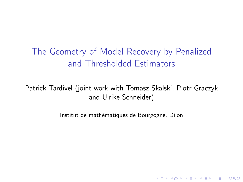# <span id="page-0-0"></span>The Geometry of Model Recovery by Penalized and Thresholded Estimators

Patrick Tardivel (joint work with Tomasz Skalski, Piotr Graczyk and Ulrike Schneider)

Institut de mathématiques de Bourgogne, Dijon

K ロ ▶ K 個 ▶ K 할 > K 할 > 1 할 > 1 이익어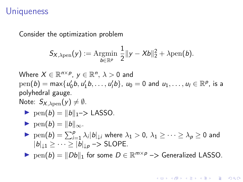## Uniqueness

Consider the optimization problem

$$
\mathsf{S}_{X,\lambda \text{pen}}(y) := \underset{b \in \mathbb{R}^p}{\text{Argmin}} \ \frac{1}{2} \|y - Xb\|_2^2 + \lambda \text{pen}(b).
$$

Where 
$$
X \in \mathbb{R}^{n \times p}
$$
,  $y \in \mathbb{R}^n$ ,  $\lambda > 0$  and

\npen(b) = max{ $u'_0b, u'_1b, \ldots, u'_lb$ },  $u_0 = 0$  and  $u_1, \ldots, u_l \in \mathbb{R}^p$ , is a polyhedral gauge.

\nNote:  $S_{X, \lambda \text{pen}}(y) \neq \emptyset$ .

\nFor  $(b) = ||b||_{1} > \text{LASSO}$ .

\nThen  $(b) = ||b||_{\infty}$ .

\nThen  $(b) = \sum_{i=1}^{p} \lambda_i |b|_{\downarrow i}$  where  $\lambda_1 > 0$ ,  $\lambda_1 \geq \cdots \geq \lambda_p \geq 0$  and  $|b|_{\downarrow 1} \geq \cdots \geq |b|_{\downarrow p} \rightarrow \text{SLOPE}$ .

\nThen  $(b) = ||Db||_1$  for some  $D \in \mathbb{R}^{m \times p} \rightarrow \text{Generalized LASSO}$ .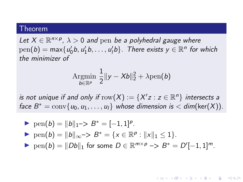### Theorem

Let  $X \in \mathbb{R}^{n \times p}$ ,  $\lambda > 0$  and pen be a polyhedral gauge where  $pen(b) = max{u'_0b, u'_1b, ..., u'_lb}$ . There exists  $y \in \mathbb{R}^n$  for which the minimizer of

$$
\underset{b\in\mathbb{R}^p}{\mathrm{Argmin}} \ \frac{1}{2} \|y - Xb\|_2^2 + \lambda \mathrm{pen}(b)
$$

is not unique if and only if  $\mathrm{row}(X) := \{X'z : z \in \mathbb{R}^n\}$  intersects a face  $B^* = \text{conv}\{u_0, u_1, \ldots, u_l\}$  whose dimension is  $\lt$  dim(ker(X)).

\n- ▶ 
$$
pen(b) = ||b||_1 \rightarrow B^* = [-1, 1]^p
$$
.
\n- ▶  $pen(b) = ||b||_{\infty} \rightarrow B^* = \{x \in \mathbb{R}^p : ||x||_1 \le 1\}$ .
\n- ▶  $pen(b) = ||Db||_1$  for some  $D \in \mathbb{R}^{m \times p} \rightarrow B^* = D'[-1, 1]^m$ .
\n

**KORKARA KERKER SAGA**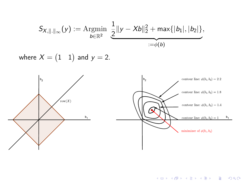$$
S_{X, \|\cdot\|_{\infty}}(y) := \underset{b \in \mathbb{R}^2}{\text{Argmin}} \underbrace{\frac{1}{2} \|y - Xb\|_2^2 + \max\{|b_1|, |b_2|\}}_{:=\phi(b)},
$$

where  $X = \begin{pmatrix} 1 & 1 \end{pmatrix}$  and  $y = 2.$ 



KID KORK KERKER E 1990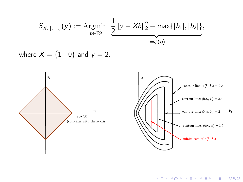$$
S_{X, \|\cdot\|_{\infty}}(y) := \underset{b \in \mathbb{R}^2}{\text{Argmin}} \underbrace{\frac{1}{2} \|y - Xb\|_2^2 + \max\{|b_1|, |b_2|\}}_{:=\phi(b)},
$$

where  $X=(1 \quad 0)$  and  $y=2.1$ 



**KD ▶ K @ ▶ K 할 ▶ K 할 ▶ - 할 | X 9 Q @**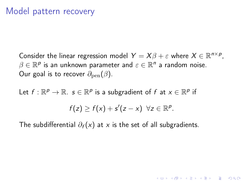Consider the linear regression model  $Y = X\beta + \varepsilon$  where  $X \in \mathbb{R}^{n \times p}$ ,  $\beta \in \mathbb{R}^p$  is an unknown parameter and  $\varepsilon \in \mathbb{R}^n$  a random noise. Our goal is to recover  $\partial_{\text{pen}}(\beta)$ .

Let  $f : \mathbb{R}^p \to \mathbb{R}$ .  $s \in \mathbb{R}^p$  is a subgradient of f at  $x \in \mathbb{R}^p$  if

$$
f(z) \geq f(x) + s'(z - x) \quad \forall z \in \mathbb{R}^p.
$$

The subdifferential  $\partial_f(x)$  at x is the set of all subgradients.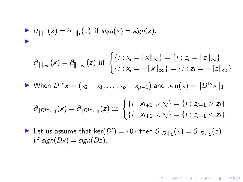$$
\frac{\partial_{\|\cdot\|_1}(x)}{\partial_{\|\cdot\|_1}(x)}=\frac{\partial_{\|\cdot\|_1}(z)}{\partial_{\|\cdot\|_1}(z)}
$$
 if sign(x) = sign(z).

$$
\partial_{\|\cdot\|_{\infty}}(x) = \partial_{\|\cdot\|_{\infty}}(z) \text{ iff } \begin{cases} \{i : x_i = \|x\|_{\infty}\} = \{i : z_i = \|z\|_{\infty}\} \\ \{i : x_i = -\|x\|_{\infty}\} = \{i : z_i = -\|z\|_{\infty}\} \end{cases}
$$

$$
\blacktriangleright \text{ When } D^{\text{tv}}x = (x_2 - x_1, \ldots, x_p - x_{p-1}) \text{ and } \text{pen}(x) = ||D^{\text{tv}}x||_1
$$

$$
\partial_{\|D^{\text{tv}}\|_1}(x) = \partial_{\|D^{\text{tv}}\|_1}(z) \text{ iff } \begin{cases} \{i : x_{i+1} > x_i\} = \{i : z_{i+1} > z_i\} \\ \{i : x_{i+1} < x_i\} = \{i : z_{i+1} < z_i\} \end{cases}
$$

KID KORK KERKER E 1990

► Let us assume that ker $(D') = \{0\}$  then  $\partial_{\|D.\|_1}(x) = \partial_{\|D.\|_1}(z)$ iif  $sign(Dx) = sign(Dz)$ .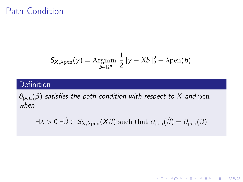# Path Condition

$$
S_{X,\lambda_{\text{pen}}}(y) = \underset{b \in \mathbb{R}^p}{\text{Argmin}} \frac{1}{2} \|y - Xb\|_2^2 + \lambda_{\text{pen}}(b).
$$

### Definition

 $\partial_{pen}(\beta)$  satisfies the path condition with respect to X and pen when

 $\exists \lambda > 0 \; \exists \hat{\beta} \in S_{X,\lambda \text{pen}}(X\beta) \text{ such that } \partial_{\text{pen}}(\hat{\beta}) = \partial_{\text{pen}}(\beta)$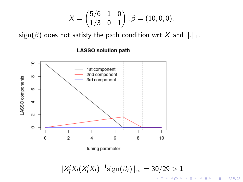$$
X = \begin{pmatrix} 5/6 & 1 & 0 \\ 1/3 & 0 & 1 \end{pmatrix}, \beta = (10, 0, 0).
$$

 $sign(\beta)$  does not satisfy the path condition wrt X and  $\|.\|_1$ .



#### **LASSO solution path**

$$
||X_I'X_I(X_I'X_I)^{-1}\text{sign}(\beta_I)||_{\infty} = 30/29 > 1
$$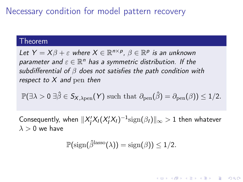Necessary condition for model pattern recovery

### Theorem

Let  $Y = X\beta + \varepsilon$  where  $X \in \mathbb{R}^{n \times p}$ ,  $\beta \in \mathbb{R}^p$  is an unknown parameter and  $\varepsilon \in \mathbb{R}^n$  has a symmetric distribution. If the subdifferential of  $\beta$  does not satisfies the path condition with respect to  $X$  and pen then

$$
\mathbb{P}(\exists \lambda > 0 \; \exists \hat{\beta} \in S_{X, \lambda \text{pen}}(Y) \text{ such that } \partial_{\text{pen}}(\hat{\beta}) = \partial_{\text{pen}}(\beta)) \leq 1/2.
$$

Consequently, when  $\|X'_{\overline{I}}\|$  $\frac{1}{I}\mathsf{X}_{I}(\mathsf{X}_{I}'\mathsf{X}_{I})^{-1}\text{sign}(\beta_{I})\|_{\infty}>1$  then whatever  $\lambda > 0$  we have

$$
\mathbb{P}(\mathrm{sign}(\hat{\beta}^{\mathrm{lasso}}(\lambda)) = \mathrm{sign}(\beta)) \leq 1/2.
$$

**KORKARA KERKER SAGA**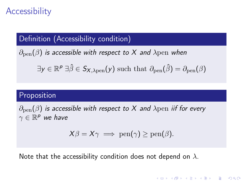# **Accessibility**

## Definition (Accessibility condition)

 $\partial_{pen}(\beta)$  is accessible with respect to X and  $\lambda$ pen when

$$
\exists y \in \mathbb{R}^p \exists \hat{\beta} \in S_{X, \lambda \text{pen}}(y) \text{ such that } \partial_{\text{pen}}(\hat{\beta}) = \partial_{\text{pen}}(\beta)
$$

## Proposition

 $\partial_{\text{pen}}(\beta)$  is accessible with respect to X and  $\lambda$ pen iif for every  $\gamma \in \mathbb{R}^p$  we have

$$
X\beta = X\gamma \implies \text{pen}(\gamma) \ge \text{pen}(\beta).
$$

**KORKA BRADE KORA** 

Note that the accessibility condition does not depend on  $\lambda$ .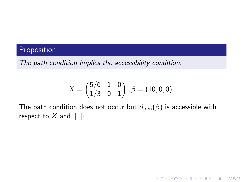## Proposition

The path condition implies the accessibility condition.

$$
X = \begin{pmatrix} 5/6 & 1 & 0 \\ 1/3 & 0 & 1 \end{pmatrix}, \beta = (10, 0, 0).
$$

The path condition does not occur but  $\partial_{pen}(\beta)$  is accessible with respect to X and  $\Vert . \Vert_1$ .

K ロ ▶ K 個 ▶ K 할 ▶ K 할 ▶ 이 할 → 이익C\*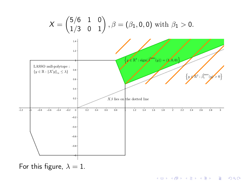

For this figure,  $\lambda = 1$ .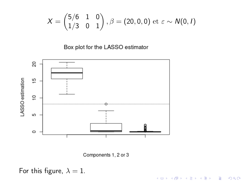$$
X = \begin{pmatrix} 5/6 & 1 & 0 \\ 1/3 & 0 & 1 \end{pmatrix}, \beta = (20, 0, 0) \text{ et } \varepsilon \sim N(0, 1)
$$

Box plot for the LASSO estimator



Components 1, 2 or 3

For this figure,  $\lambda = 1$ .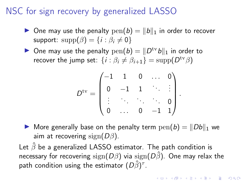# <span id="page-14-0"></span>NSC for sign recovery by generalized LASSO

- $\triangleright$  One may use the penalty  $pen(b) = ||b||_1$  in order to recover support:  $\text{supp}(\beta) = \{i : \beta_i \neq 0\}$
- $\triangleright$  One may use the penalty  $\text{pen}(b) = ||D^{\text{tv}}b||_1$  in order to recover the jump set:  $\{i : \beta_i \neq \beta_{i+1}\} = \text{supp}(D^{\text{tv}}\beta)$

$$
D^{\text{tv}} = \begin{pmatrix} -1 & 1 & 0 & \dots & 0 \\ 0 & -1 & 1 & \ddots & \vdots \\ \vdots & \ddots & \ddots & \ddots & 0 \\ 0 & \dots & 0 & -1 & 1 \end{pmatrix}
$$

 $\triangleright$  More generally base on the penalty term  $pen(b) = ||Db||_1$  we aim at recovering sign( $D\beta$ ).

Let  $\hat{\beta}$  be a generalized LASSO estimator. The path condition is necessary for recovering  $sign(D\beta)$  via  $sign(D\hat{\beta})$ . One may relax the path condition using the estimator  $(D\hat{\beta})^{\tau}$ .

.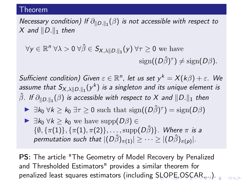### <span id="page-15-0"></span>Theorem

Necessary condition) If  $\partial_{\|D.\|_1}(\beta)$  is not accessible with respect to X and  $||D.||_1$  then

$$
\forall y \in \mathbb{R}^n \ \forall \lambda > 0 \ \forall \hat{\beta} \in S_{X,\lambda||D.||_1}(y) \ \forall \tau \geq 0 \text{ we have}
$$

$$
\text{sign}((D\hat{\beta})^{\tau}) \neq \text{sign}(D\beta).
$$

Sufficient condition) Given  $\varepsilon \in \mathbb{R}^n$ , let us set  $y^k = X(k\beta) + \varepsilon$ . We assume that  $S_{X,\lambda\lVert D_\cdot\rVert_1}(y^k)$  is a singleton and its unique element is  $\hat{\beta}.$  If  $\partial_{\lVert D.\rVert_1}(\beta)$  is accessible with respect to  $X$  and  $\lVert D.\rVert_1$  then

- $\triangleright \exists k_0 \ \forall k \geq k_0 \ \exists \tau \geq 0 \ \text{such that} \ sign((D\hat{\beta})^{\tau}) = \text{sign}(D\beta)$
- $\blacktriangleright$   $\exists k_0 \ \forall k > k_0$  we have supp $(D\beta) \in$  $\{\emptyset, \{\pi(1)\}, \{\pi(1), \pi(2)\}, \ldots, \text{supp}(D\hat{\beta})\}.$  Where  $\pi$  is a permutation such that  $|(D\hat{\beta})_{\pi(1)}| \geq \cdots \geq |(D\hat{\beta})_{\pi(p)}|.$

PS: The article "The Geometry of Model Recovery by Penalized and Thresholded Estimators" provides a similar theorem for penalized least squares estimators (including [SL](#page-14-0)[O](#page-16-0)[P](#page-14-0)[E,](#page-15-0) O[S](#page-0-0)[CA](#page-19-0)[R,](#page-0-0)[...\)](#page-19-0)[.](#page-0-0)

 $OQ$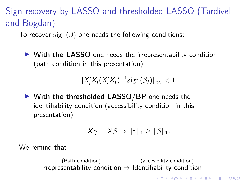<span id="page-16-0"></span>Sign recovery by LASSO and thresholded LASSO (Tardivel and Bogdan)

To recover sign( $\beta$ ) one needs the following conditions:

 $\triangleright$  With the LASSO one needs the irrepresentability condition (path condition in this presentation)

> $\|X'_{\overline{I}}$  $\frac{1}{l}X_l(X_l'X_l)^{-1}\text{sign}(\beta_l)\|_{\infty} < 1.$

 $\triangleright$  With the thresholded LASSO/BP one needs the identifiability condition (accessibility condition in this presentation)

$$
X\gamma = X\beta \Rightarrow \|\gamma\|_1 \ge \|\beta\|_1.
$$

**KORKA BRADE KORA** 

We remind that

(Path condition)  $Irrepresentation \Rightarrow Identifiability$ (accesibility condition)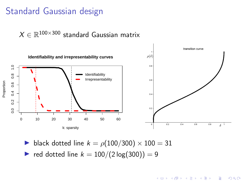## Standard Gaussian design

 $X \in \mathbb{R}^{100 \times 300}$  standard Gaussian matrix



- black dotted line  $k = \rho(100/300) \times 100 = 31$
- red dotted line  $k = 100/(2 \log(300)) = 9$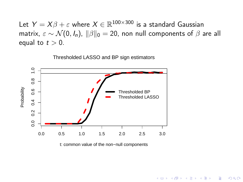Let  $Y = X \beta + \varepsilon$  where  $X \in \mathbb{R}^{100 \times 300}$  is a standard Gaussian matrix,  $\varepsilon \sim \mathcal{N}(0, I_n)$ ,  $\|\beta\|_0 = 20$ , non null components of  $\beta$  are all equal to  $t > 0$ .

Thresholded LASSO and BP sign estimators  $\frac{0}{1}$ 0.0 0.2 0.4 0.6 0.8 1.0  $0.\overline{8}$ Probability  $0.6$ Thresholded BP Thresholded LASSO $0.4$  $0.2$  $0.0$ 0.0 0.5 1.0 1.5 2.0 2.5 3.0

t: common value of the non−null components